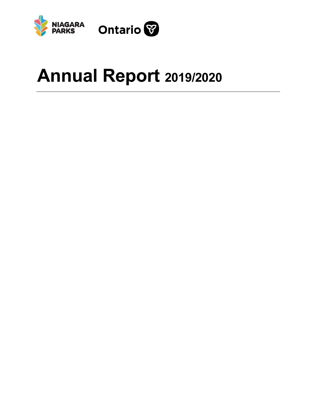



# **Annual Report 2019/2020**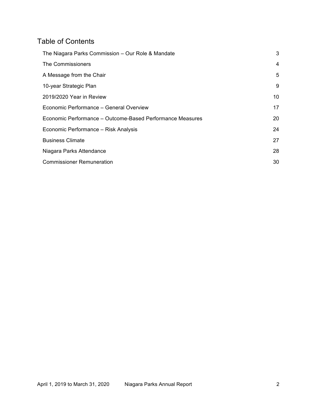# Table of Contents

| The Niagara Parks Commission - Our Role & Mandate         | 3  |
|-----------------------------------------------------------|----|
| The Commissioners                                         | 4  |
| A Message from the Chair                                  | 5  |
| 10-year Strategic Plan                                    | 9  |
| 2019/2020 Year in Review                                  | 10 |
| Economic Performance - General Overview                   | 17 |
| Economic Performance - Outcome-Based Performance Measures | 20 |
| Economic Performance - Risk Analysis                      | 24 |
| <b>Business Climate</b>                                   | 27 |
| Niagara Parks Attendance                                  | 28 |
| <b>Commissioner Remuneration</b>                          | 30 |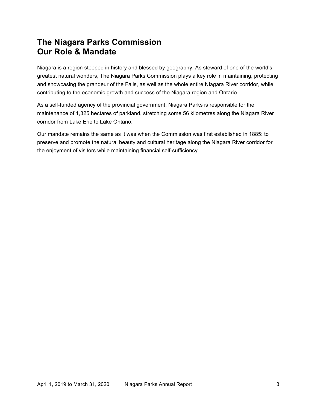# **Our Role & Mandate The Niagara Parks Commission**

 Niagara is a region steeped in history and blessed by geography. As steward of one of the world's greatest natural wonders, The Niagara Parks Commission plays a key role in maintaining, protecting and showcasing the grandeur of the Falls, as well as the whole entire Niagara River corridor, while contributing to the economic growth and success of the Niagara region and Ontario.

 As a self-funded agency of the provincial government, Niagara Parks is responsible for the maintenance of 1,325 hectares of parkland, stretching some 56 kilometres along the Niagara River corridor from Lake Erie to Lake Ontario.

 Our mandate remains the same as it was when the Commission was first established in 1885: to preserve and promote the natural beauty and cultural heritage along the Niagara River corridor for the enjoyment of visitors while maintaining financial self-sufficiency.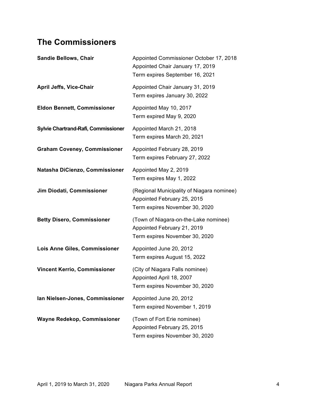# **The Commissioners**

| <b>Sandie Bellows, Chair</b>        | Appointed Commissioner October 17, 2018<br>Appointed Chair January 17, 2019<br>Term expires September 16, 2021 |
|-------------------------------------|----------------------------------------------------------------------------------------------------------------|
| <b>April Jeffs, Vice-Chair</b>      | Appointed Chair January 31, 2019<br>Term expires January 30, 2022                                              |
| <b>Eldon Bennett, Commissioner</b>  | Appointed May 10, 2017<br>Term expired May 9, 2020                                                             |
| Sylvie Chartrand-Rafi, Commissioner | Appointed March 21, 2018<br>Term expires March 20, 2021                                                        |
| <b>Graham Coveney, Commissioner</b> | Appointed February 28, 2019<br>Term expires February 27, 2022                                                  |
| Natasha DiCienzo, Commissioner      | Appointed May 2, 2019<br>Term expires May 1, 2022                                                              |
| Jim Diodati, Commissioner           | (Regional Municipality of Niagara nominee)<br>Appointed February 25, 2015<br>Term expires November 30, 2020    |
| <b>Betty Disero, Commissioner</b>   | (Town of Niagara-on-the-Lake nominee)<br>Appointed February 21, 2019<br>Term expires November 30, 2020         |
| Lois Anne Giles, Commissioner       | Appointed June 20, 2012<br>Term expires August 15, 2022                                                        |
| <b>Vincent Kerrio, Commissioner</b> | (City of Niagara Falls nominee)<br>Appointed April 18, 2007<br>Term expires November 30, 2020                  |
| Ian Nielsen-Jones, Commissioner     | Appointed June 20, 2012<br>Term expired November 1, 2019                                                       |
| Wayne Redekop, Commissioner         | (Town of Fort Erie nominee)<br>Appointed February 25, 2015<br>Term expires November 30, 2020                   |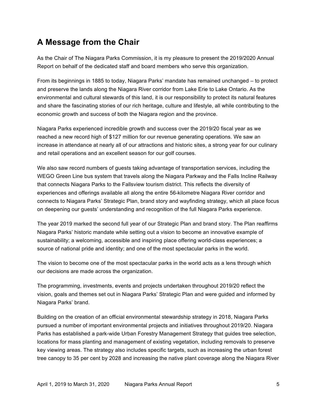# **A Message from the Chair**

 As the Chair of The Niagara Parks Commission, it is my pleasure to present the 2019/2020 Annual Report on behalf of the dedicated staff and board members who serve this organization.

 From its beginnings in 1885 to today, Niagara Parks' mandate has remained unchanged – to protect and preserve the lands along the Niagara River corridor from Lake Erie to Lake Ontario. As the environmental and cultural stewards of this land, it is our responsibility to protect its natural features and share the fascinating stories of our rich heritage, culture and lifestyle, all while contributing to the economic growth and success of both the Niagara region and the province.

 Niagara Parks experienced incredible growth and success over the 2019/20 fiscal year as we reached a new record high of \$127 million for our revenue generating operations. We saw an increase in attendance at nearly all of our attractions and historic sites, a strong year for our culinary and retail operations and an excellent season for our golf courses.

 We also saw record numbers of guests taking advantage of transportation services, including the WEGO Green Line bus system that travels along the Niagara Parkway and the Falls Incline Railway experiences and offerings available all along the entire 56-kilometre Niagara River corridor and connects to Niagara Parks' Strategic Plan, brand story and wayfinding strategy, which all place focus on deepening our guests' understanding and recognition of the full Niagara Parks experience. that connects Niagara Parks to the Fallsview tourism district. This reflects the diversity of

 The year 2019 marked the second full year of our Strategic Plan and brand story. The Plan reaffirms Niagara Parks' historic mandate while setting out a vision to become an innovative example of sustainability; a welcoming, accessible and inspiring place offering world-class experiences; a source of national pride and identity; and one of the most spectacular parks in the world.

 The vision to become one of the most spectacular parks in the world acts as a lens through which our decisions are made across the organization.

 The programming, investments, events and projects undertaken throughout 2019/20 reflect the vision, goals and themes set out in Niagara Parks' Strategic Plan and were guided and informed by Niagara Parks' brand.

 Building on the creation of an official environmental stewardship strategy in 2018, Niagara Parks pursued a number of important environmental projects and initiatives throughout 2019/20. Niagara Parks has established a park-wide Urban Forestry Management Strategy that guides tree selection, locations for mass planting and management of existing vegetation, including removals to preserve key viewing areas. The strategy also includes specific targets, such as increasing the urban forest tree canopy to 35 per cent by 2028 and increasing the native plant coverage along the Niagara River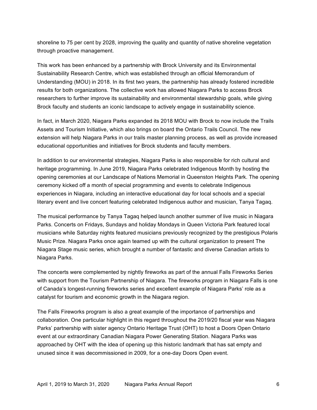shoreline to 75 per cent by 2028, improving the quality and quantity of native shoreline vegetation through proactive management.

 This work has been enhanced by a partnership with Brock University and its Environmental Sustainability Research Centre, which was established through an official Memorandum of Understanding (MOU) in 2018. In its first two years, the partnership has already fostered incredible results for both organizations. The collective work has allowed Niagara Parks to access Brock researchers to further improve its sustainability and environmental stewardship goals, while giving Brock faculty and students an iconic landscape to actively engage in sustainability science.

 Assets and Tourism Initiative, which also brings on board the Ontario Trails Council. The new extension will help Niagara Parks in our trails master planning process, as well as provide increased educational opportunities and initiatives for Brock students and faculty members. In fact, in March 2020, Niagara Parks expanded its 2018 MOU with Brock to now include the Trails

 heritage programming. In June 2019, Niagara Parks celebrated Indigenous Month by hosting the opening ceremonies at our Landscape of Nations Memorial in Queenston Heights Park. The opening ceremony kicked off a month of special programming and events to celebrate Indigenous experiences in Niagara, including an interactive educational day for local schools and a special literary event and live concert featuring celebrated Indigenous author and musician, Tanya Tagaq. In addition to our environmental strategies, Niagara Parks is also responsible for rich cultural and

 The musical performance by Tanya Tagaq helped launch another summer of live music in Niagara Parks. Concerts on Fridays, Sundays and holiday Mondays in Queen Victoria Park featured local musicians while Saturday nights featured musicians previously recognized by the prestigious Polaris Music Prize. Niagara Parks once again teamed up with the cultural organization to present The Niagara Stage music series, which brought a number of fantastic and diverse Canadian artists to Niagara Parks.

 The concerts were complemented by nightly fireworks as part of the annual Falls Fireworks Series with support from the Tourism Partnership of Niagara. The fireworks program in Niagara Falls is one of Canada's longest-running fireworks series and excellent example of Niagara Parks' role as a catalyst for tourism and economic growth in the Niagara region.

 The Falls Fireworks program is also a great example of the importance of partnerships and collaboration. One particular highlight in this regard throughout the 2019/20 fiscal year was Niagara Parks' partnership with sister agency Ontario Heritage Trust (OHT) to host a Doors Open Ontario event at our extraordinary Canadian Niagara Power Generating Station. Niagara Parks was approached by OHT with the idea of opening up this historic landmark that has sat empty and unused since it was decommissioned in 2009, for a one-day Doors Open event.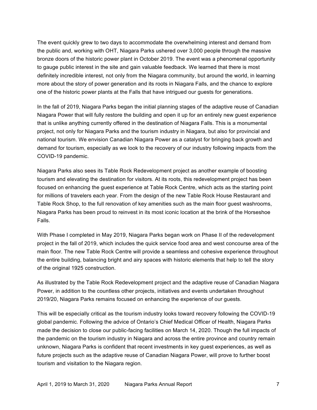The event quickly grew to two days to accommodate the overwhelming interest and demand from the public and, working with OHT, Niagara Parks ushered over 3,000 people through the massive bronze doors of the historic power plant in October 2019. The event was a phenomenal opportunity definitely incredible interest, not only from the Niagara community, but around the world, in learning more about the story of power generation and its roots in Niagara Falls, and the chance to explore one of the historic power plants at the Falls that have intrigued our guests for generations. to gauge public interest in the site and gain valuable feedback. We learned that there is most

 In the fall of 2019, Niagara Parks began the initial planning stages of the adaptive reuse of Canadian Niagara Power that will fully restore the building and open it up for an entirely new guest experience project, not only for Niagara Parks and the tourism industry in Niagara, but also for provincial and national tourism. We envision Canadian Niagara Power as a catalyst for bringing back growth and demand for tourism, especially as we look to the recovery of our industry following impacts from the that is unlike anything currently offered in the destination of Niagara Falls. This is a monumental COVID-19 pandemic.

 Niagara Parks also sees its Table Rock Redevelopment project as another example of boosting focused on enhancing the guest experience at Table Rock Centre, which acts as the starting point Table Rock Shop, to the full renovation of key amenities such as the main floor guest washrooms, Niagara Parks has been proud to reinvest in its most iconic location at the brink of the Horseshoe tourism and elevating the destination for visitors. At its roots, this redevelopment project has been for millions of travelers each year. From the design of the new Table Rock House Restaurant and Falls.

 With Phase I completed in May 2019, Niagara Parks began work on Phase II of the redevelopment project in the fall of 2019, which includes the quick service food area and west concourse area of the main floor. The new Table Rock Centre will provide a seamless and cohesive experience throughout the entire building, balancing bright and airy spaces with historic elements that help to tell the story of the original 1925 construction.

 As illustrated by the Table Rock Redevelopment project and the adaptive reuse of Canadian Niagara Power, in addition to the countless other projects, initiatives and events undertaken throughout 2019/20, Niagara Parks remains focused on enhancing the experience of our guests.

 This will be especially critical as the tourism industry looks toward recovery following the COVID-19 global pandemic. Following the advice of Ontario's Chief Medical Officer of Health, Niagara Parks made the decision to close our public-facing facilities on March 14, 2020. Though the full impacts of unknown, Niagara Parks is confident that recent investments in key guest experiences, as well as the pandemic on the tourism industry in Niagara and across the entire province and country remain future projects such as the adaptive reuse of Canadian Niagara Power, will prove to further boost tourism and visitation to the Niagara region.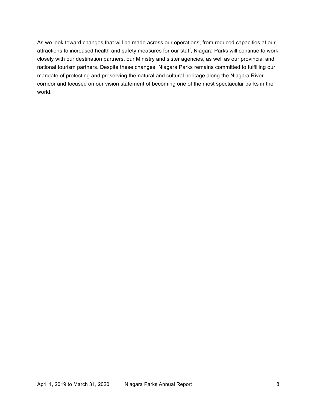As we look toward changes that will be made across our operations, from reduced capacities at our attractions to increased health and safety measures for our staff, Niagara Parks will continue to work closely with our destination partners, our Ministry and sister agencies, as well as our provincial and national tourism partners. Despite these changes, Niagara Parks remains committed to fulfilling our mandate of protecting and preserving the natural and cultural heritage along the Niagara River corridor and focused on our vision statement of becoming one of the most spectacular parks in the world. world. April 1, 2019 to March 31, 2020 Niagara Parks Annual Report 8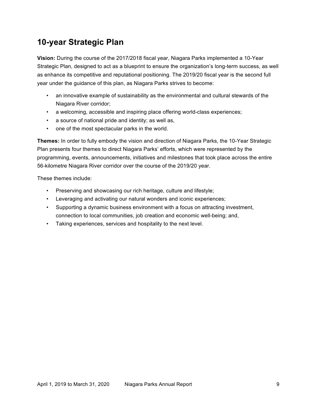# **10-year Strategic Plan**

 **Vision:** During the course of the 2017/2018 fiscal year, Niagara Parks implemented a 10-Year Strategic Plan, designed to act as a blueprint to ensure the organization's long-term success, as well as enhance its competitive and reputational positioning. The 2019/20 fiscal year is the second full year under the guidance of this plan, as Niagara Parks strives to become:

- • an innovative example of sustainability as the environmental and cultural stewards of the Niagara River corridor;
- a welcoming, accessible and inspiring place offering world-class experiences;
- a source of national pride and identity; as well as,
- one of the most spectacular parks in the world.

 **Themes:** In order to fully embody the vision and direction of Niagara Parks, the 10-Year Strategic Plan presents four themes to direct Niagara Parks' efforts, which were represented by the programming, events, announcements, initiatives and milestones that took place across the entire 56-kilometre Niagara River corridor over the course of the 2019/20 year.

These themes include:

- Preserving and showcasing our rich heritage, culture and lifestyle;
- Leveraging and activating our natural wonders and iconic experiences;
- • Supporting a dynamic business environment with a focus on attracting investment, connection to local communities, job creation and economic well-being; and,
- Taking experiences, services and hospitality to the next level.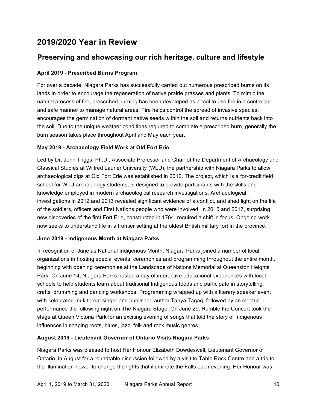# **2019/2020 Year in Review**

# **Preserving and showcasing our rich heritage, culture and lifestyle**

# **April 2019 - Prescribed Burns Program**

 For over a decade, Niagara Parks has successfully carried out numerous prescribed burns on its lands in order to encourage the regeneration of native prairie grasses and plants. To mimic the natural process of fire, prescribed burning has been developed as a tool to use fire in a controlled and safe manner to manage natural areas. Fire helps control the spread of invasive species, encourages the germination of dormant native seeds within the soil and returns nutrients back into burn season takes place throughout April and May each year. the soil. Due to the unique weather conditions required to complete a prescribed burn, generally the

# **May 2019 - Archaeology Field Work at Old Fort Erie**

 Led by Dr. John Triggs, Ph.D., Associate Professor and Chair of the Department of Archaeology and Classical Studies at Wilfred Laurier University (WLU), the partnership with Niagara Parks to allow archaeological digs at Old Fort Erie was established in 2012. The project, which is a for-credit field school for WLU archaeology students, is designed to provide participants with the skills and knowledge employed in modern archaeological research investigations. Archaeological investigations in 2012 and 2013 revealed significant evidence of a conflict, and shed light on the life of the soldiers, officers and First Nations people who were involved. In 2015 and 2017, surprising new discoveries of the first Fort Erie, constructed in 1764, required a shift in focus. Ongoing work now seeks to understand life in a frontier setting at the oldest British military fort in the province.

# **June 2019 - Indigenous Month at Niagara Parks**

 In recognition of June as National Indigenous Month, Niagara Parks joined a number of local organizations in hosting special events, ceremonies and programming throughout the entire month, beginning with opening ceremonies at the Landscape of Nations Memorial at Queenston Heights Park. On June 14, Niagara Parks hosted a day of interactive educational experiences with local schools to help students learn about traditional Indigenous foods and participate in storytelling, crafts, drumming and dancing workshops. Programming wrapped up with a literary speaker event with celebrated Inuk throat singer and published author Tanya Tagaq, followed by an electric performance the following night on The Niagara Stage. On June 29, Rumble the Concert took the stage at Queen Victoria Park for an exciting evening of songs that told the story of Indigenous influences in shaping roots, blues, jazz, folk and rock music genres.

# **August 2019 - Lieutenant Governor of Ontario Visits Niagara Parks**

 Niagara Parks was pleased to host Her Honour Elizabeth Dowdeswell, Lieutenant Governor of Ontario, in August for a roundtable discussion followed by a visit to Table Rock Centre and a trip to the Illumination Tower to change the lights that illuminate the Falls each evening. Her Honour was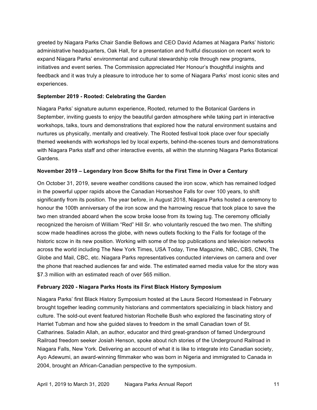greeted by Niagara Parks Chair Sandie Bellows and CEO David Adames at Niagara Parks' historic administrative headquarters, Oak Hall, for a presentation and fruitful discussion on recent work to expand Niagara Parks' environmental and cultural stewardship role through new programs, initiatives and event series. The Commission appreciated Her Honour's thoughtful insights and feedback and it was truly a pleasure to introduce her to some of Niagara Parks' most iconic sites and experiences.

#### **September 2019 - Rooted: Celebrating the Garden**

 Niagara Parks' signature autumn experience, Rooted, returned to the Botanical Gardens in September, inviting guests to enjoy the beautiful garden atmosphere while taking part in interactive workshops, talks, tours and demonstrations that explored how the natural environment sustains and nurtures us physically, mentally and creatively. The Rooted festival took place over four specially with Niagara Parks staff and other interactive events, all within the stunning Niagara Parks Botanical themed weekends with workshops led by local experts, behind-the-scenes tours and demonstrations Gardens.

#### **November 2019 – Legendary Iron Scow Shifts for the First Time in Over a Century**

 On October 31, 2019, severe weather conditions caused the iron scow, which has remained lodged in the powerful upper rapids above the Canadian Horseshoe Falls for over 100 years, to shift significantly from its position. The year before, in August 2018, Niagara Parks hosted a ceremony to honour the 100th anniversary of the iron scow and the harrowing rescue that took place to save the two men stranded aboard when the scow broke loose from its towing tug. The ceremony officially recognized the heroism of William "Red" Hill Sr. who voluntarily rescued the two men. The shifting scow made headlines across the globe, with news outlets flocking to the Falls for footage of the historic scow in its new position. Working with some of the top publications and television networks across the world including The New York Times, USA Today, Time Magazine, NBC, CBS, CNN, The Globe and Mail, CBC, etc. Niagara Parks representatives conducted interviews on camera and over \$7.3 million with an estimated reach of over 565 million. the phone that reached audiences far and wide. The estimated earned media value for the story was

#### **February 2020 - Niagara Parks Hosts its First Black History Symposium**

 Niagara Parks' first Black History Symposium hosted at the Laura Secord Homestead in February brought together leading community historians and commentators specializing in black history and culture. The sold-out event featured historian Rochelle Bush who explored the fascinating story of Harriet Tubman and how she guided slaves to freedom in the small Canadian town of St. Catharines. Saladin Allah, an author, educator and third great-grandson of famed Underground Railroad freedom seeker Josiah Henson, spoke about rich stories of the Underground Railroad in Niagara Falls, New York. Delivering an account of what it is like to integrate into Canadian society, Ayo Adewumi, an award-winning filmmaker who was born in Nigeria and immigrated to Canada in 2004, brought an African-Canadian perspective to the symposium.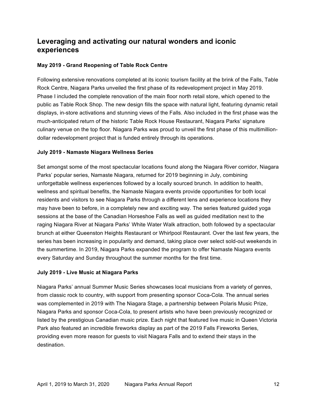# **Leveraging and activating our natural wonders and iconic experiences**

# **May 2019 - Grand Reopening of Table Rock Centre**

 Following extensive renovations completed at its iconic tourism facility at the brink of the Falls, Table Rock Centre, Niagara Parks unveiled the first phase of its redevelopment project in May 2019. Phase I included the complete renovation of the main floor north retail store, which opened to the public as Table Rock Shop. The new design fills the space with natural light, featuring dynamic retail displays, in-store activations and stunning views of the Falls. Also included in the first phase was the much-anticipated return of the historic Table Rock House Restaurant, Niagara Parks' signature culinary venue on the top floor. Niagara Parks was proud to unveil the first phase of this multimillion-dollar redevelopment project that is funded entirely through its operations.

# **July 2019 - Namaste Niagara Wellness Series**

 Set amongst some of the most spectacular locations found along the Niagara River corridor, Niagara Parks' popular series, Namaste Niagara, returned for 2019 beginning in July, combining unforgettable wellness experiences followed by a locally sourced brunch. In addition to health, wellness and spiritual benefits, the Namaste Niagara events provide opportunities for both local residents and visitors to see Niagara Parks through a different lens and experience locations they may have been to before, in a completely new and exciting way. The series featured guided yoga sessions at the base of the Canadian Horseshoe Falls as well as guided meditation next to the raging Niagara River at Niagara Parks' White Water Walk attraction, both followed by a spectacular brunch at either Queenston Heights Restaurant or Whirlpool Restaurant. Over the last few years, the series has been increasing in popularity and demand, taking place over select sold-out weekends in the summertime. In 2019, Niagara Parks expanded the program to offer Namaste Niagara events every Saturday and Sunday throughout the summer months for the first time.

# **July 2019 - Live Music at Niagara Parks**

 Niagara Parks' annual Summer Music Series showcases local musicians from a variety of genres, from classic rock to country, with support from presenting sponsor Coca-Cola. The annual series was complemented in 2019 with The Niagara Stage, a partnership between Polaris Music Prize, Niagara Parks and sponsor Coca-Cola, to present artists who have been previously recognized or listed by the prestigious Canadian music prize. Each night that featured live music in Queen Victoria Park also featured an incredible fireworks display as part of the 2019 Falls Fireworks Series, providing even more reason for guests to visit Niagara Falls and to extend their stays in the destination.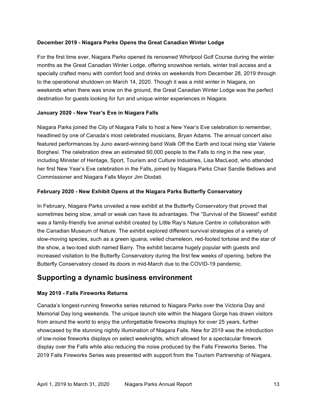## **December 2019 - Niagara Parks Opens the Great Canadian Winter Lodge**

 For the first time ever, Niagara Parks opened its renowned Whirlpool Golf Course during the winter months as the Great Canadian Winter Lodge, offering snowshoe rentals, winter trail access and a specially crafted menu with comfort food and drinks on weekends from December 28, 2019 through weekends when there was snow on the ground, the Great Canadian Winter Lodge was the perfect destination for guests looking for fun and unique winter experiences in Niagara. to the operational shutdown on March 14, 2020. Though it was a mild winter in Niagara, on

## **January 2020 - New Year's Eve in Niagara Falls**

 Niagara Parks joined the City of Niagara Falls to host a New Year's Eve celebration to remember, headlined by one of Canada's most celebrated musicians, Bryan Adams. The annual concert also featured performances by Juno award-winning band Walk Off the Earth and local rising star Valerie Borghesi. The celebration drew an estimated 60,000 people to the Falls to ring in the new year, including Minister of Heritage, Sport, Tourism and Culture Industries, Lisa MacLeod, who attended her first New Year's Eve celebration in the Falls, joined by Niagara Parks Chair Sandie Bellows and Commissioner and Niagara Falls Mayor Jim Diodati.

#### **February 2020 - New Exhibit Opens at the Niagara Parks Butterfly Conservatory**

 In February, Niagara Parks unveiled a new exhibit at the Butterfly Conservatory that proved that sometimes being slow, small or weak can have its advantages. The "Survival of the Slowest" exhibit the Canadian Museum of Nature. The exhibit explored different survival strategies of a variety of slow-moving species, such as a green iguana, veiled chameleon, red-footed tortoise and the star of increased visitation to the Butterfly Conservatory during the first few weeks of opening, before the Butterfly Conservatory closed its doors in mid-March due to the COVID-19 pandemic. was a family-friendly live animal exhibit created by Little Ray's Nature Centre in collaboration with the show, a two-toed sloth named Barry. The exhibit became hugely popular with guests and

# **Supporting a dynamic business environment**

## **May 2019 - Falls Fireworks Returns**

 Canada's longest-running fireworks series returned to Niagara Parks over the Victoria Day and Memorial Day long weekends. The unique launch site within the Niagara Gorge has drawn visitors from around the world to enjoy the unforgettable fireworks displays for over 25 years, further showcased by the stunning nightly illumination of Niagara Falls. New for 2019 was the introduction of low-noise fireworks displays on select weeknights, which allowed for a spectacular firework display over the Falls while also reducing the noise produced by the Falls Fireworks Series. The 2019 Falls Fireworks Series was presented with support from the Tourism Partnership of Niagara.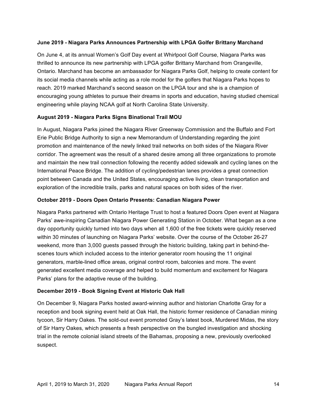## **June 2019 - Niagara Parks Announces Partnership with LPGA Golfer Brittany Marchand**

 On June 4, at its annual Women's Golf Day event at Whirlpool Golf Course, Niagara Parks was Ontario. Marchand has become an ambassador for Niagara Parks Golf, helping to create content for its social media channels while acting as a role model for the golfers that Niagara Parks hopes to reach. 2019 marked Marchand's second season on the LPGA tour and she is a champion of encouraging young athletes to pursue their dreams in sports and education, having studied chemical engineering while playing NCAA golf at North Carolina State University. thrilled to announce its new partnership with LPGA golfer Brittany Marchand from Orangeville,

## **August 2019 - Niagara Parks Signs Binational Trail MOU**

 Erie Public Bridge Authority to sign a new Memorandum of Understanding regarding the joint promotion and maintenance of the newly linked trail networks on both sides of the Niagara River corridor. The agreement was the result of a shared desire among all three organizations to promote and maintain the new trail connection following the recently added sidewalk and cycling lanes on the exploration of the incredible trails, parks and natural spaces on both sides of the river. In August, Niagara Parks joined the Niagara River Greenway Commission and the Buffalo and Fort International Peace Bridge. The addition of cycling/pedestrian lanes provides a great connection point between Canada and the United States, encouraging active living, clean transportation and

## **October 2019 - Doors Open Ontario Presents: Canadian Niagara Power**

 Niagara Parks partnered with Ontario Heritage Trust to host a featured Doors Open event at Niagara Parks' awe-inspiring Canadian Niagara Power Generating Station in October. What began as a one day opportunity quickly turned into two days when all 1,600 of the free tickets were quickly reserved within 30 minutes of launching on Niagara Parks' website. Over the course of the October 26-27 weekend, more than 3,000 guests passed through the historic building, taking part in behind-the- scenes tours which included access to the interior generator room housing the 11 original generators, marble-lined office areas, original control room, balconies and more. The event generated excellent media coverage and helped to build momentum and excitement for Niagara Parks' plans for the adaptive reuse of the building.

## **December 2019 - Book Signing Event at Historic Oak Hall**

 On December 9, Niagara Parks hosted award-winning author and historian Charlotte Gray for a reception and book signing event held at Oak Hall, the historic former residence of Canadian mining tycoon, Sir Harry Oakes. The sold-out event promoted Gray's latest book, Murdered Midas, the story of Sir Harry Oakes, which presents a fresh perspective on the bungled investigation and shocking trial in the remote colonial island streets of the Bahamas, proposing a new, previously overlooked suspect.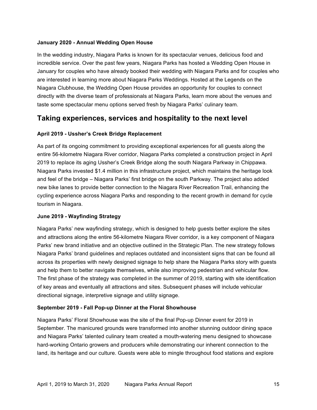## **January 2020 - Annual Wedding Open House**

 incredible service. Over the past few years, Niagara Parks has hosted a Wedding Open House in January for couples who have already booked their wedding with Niagara Parks and for couples who are interested in learning more about Niagara Parks Weddings. Hosted at the Legends on the Niagara Clubhouse, the Wedding Open House provides an opportunity for couples to connect directly with the diverse team of professionals at Niagara Parks, learn more about the venues and In the wedding industry, Niagara Parks is known for its spectacular venues, delicious food and taste some spectacular menu options served fresh by Niagara Parks' culinary team.

# **Taking experiences, services and hospitality to the next level**

## **April 2019 - Ussher's Creek Bridge Replacement**

 As part of its ongoing commitment to providing exceptional experiences for all guests along the entire 56-kilometre Niagara River corridor, Niagara Parks completed a construction project in April 2019 to replace its aging Ussher's Creek Bridge along the south Niagara Parkway in Chippawa. Niagara Parks invested \$1.4 million in this infrastructure project, which maintains the heritage look and feel of the bridge – Niagara Parks' first bridge on the south Parkway. The project also added new bike lanes to provide better connection to the Niagara River Recreation Trail, enhancing the cycling experience across Niagara Parks and responding to the recent growth in demand for cycle tourism in Niagara.

## **June 2019 - Wayfinding Strategy**

 Niagara Parks' new wayfinding strategy, which is designed to help guests better explore the sites and attractions along the entire 56-kilometre Niagara River corridor, is a key component of Niagara Parks' new brand initiative and an objective outlined in the Strategic Plan. The new strategy follows Niagara Parks' brand guidelines and replaces outdated and inconsistent signs that can be found all across its properties with newly designed signage to help share the Niagara Parks story with guests and help them to better navigate themselves, while also improving pedestrian and vehicular flow. The first phase of the strategy was completed in the summer of 2019, starting with site identification of key areas and eventually all attractions and sites. Subsequent phases will include vehicular directional signage, interpretive signage and utility signage.

#### **September 2019 - Fall Pop-up Dinner at the Floral Showhouse**

 Niagara Parks' Floral Showhouse was the site of the final Pop-up Dinner event for 2019 in September. The manicured grounds were transformed into another stunning outdoor dining space and Niagara Parks' talented culinary team created a mouth-watering menu designed to showcase hard-working Ontario growers and producers while demonstrating our inherent connection to the land, its heritage and our culture. Guests were able to mingle throughout food stations and explore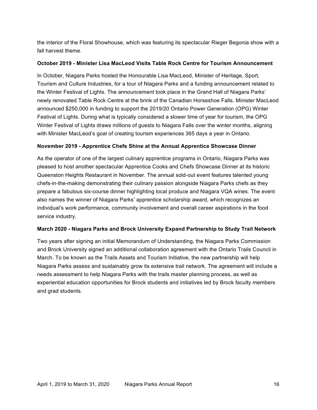the interior of the Floral Showhouse, which was featuring its spectacular Rieger Begonia show with a fall harvest theme.

#### **October 2019 - Minister Lisa MacLeod Visits Table Rock Centre for Tourism Announcement**

 Tourism and Culture Industries, for a tour of Niagara Parks and a funding announcement related to newly renovated Table Rock Centre at the brink of the Canadian Horseshoe Falls. Minister MacLeod announced \$250,000 in funding to support the 2019/20 Ontario Power Generation (OPG) Winter Festival of Lights. During what is typically considered a slower time of year for tourism, the OPG Winter Festival of Lights draws millions of guests to Niagara Falls over the winter months, aligning with Minister MacLeod's goal of creating tourism experiences 365 days a year in Ontario. In October, Niagara Parks hosted the Honourable Lisa MacLeod, Minister of Heritage, Sport, the Winter Festival of Lights. The announcement took place in the Grand Hall of Niagara Parks'

#### **November 2019 - Apprentice Chefs Shine at the Annual Apprentice Showcase Dinner**

 As the operator of one of the largest culinary apprentice programs in Ontario, Niagara Parks was pleased to host another spectacular Apprentice Cooks and Chefs Showcase Dinner at its historic Queenston Heights Restaurant in November. The annual sold-out event features talented young chefs-in-the-making demonstrating their culinary passion alongside Niagara Parks chefs as they prepare a fabulous six-course dinner highlighting local produce and Niagara VQA wines. The event also names the winner of Niagara Parks' apprentice scholarship award, which recognizes an individual's work performance, community involvement and overall career aspirations in the food service industry.

## **March 2020 - Niagara Parks and Brock University Expand Partnership to Study Trail Network**

 Two years after signing an initial Memorandum of Understanding, the Niagara Parks Commission and Brock University signed an additional collaboration agreement with the Ontario Trails Council in March. To be known as the Trails Assets and Tourism Initiative, the new partnership will help Niagara Parks assess and sustainably grow its extensive trail network. The agreement will include a needs assessment to help Niagara Parks with the trails master planning process, as well as experiential education opportunities for Brock students and initiatives led by Brock faculty members and grad students.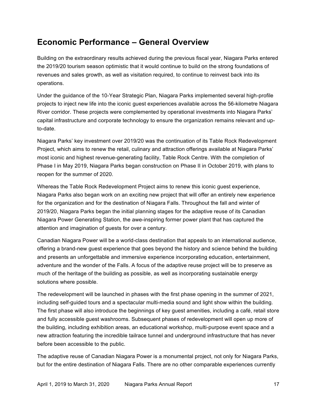# **Economic Performance – General Overview**

 Building on the extraordinary results achieved during the previous fiscal year, Niagara Parks entered the 2019/20 tourism season optimistic that it would continue to build on the strong foundations of revenues and sales growth, as well as visitation required, to continue to reinvest back into its operations.

 Under the guidance of the 10-Year Strategic Plan, Niagara Parks implemented several high-profile projects to inject new life into the iconic guest experiences available across the 56-kilometre Niagara River corridor. These projects were complemented by operational investments into Niagara Parks' capital infrastructure and corporate technology to ensure the organization remains relevant and upto-date.

 Niagara Parks' key investment over 2019/20 was the continuation of its Table Rock Redevelopment Project, which aims to renew the retail, culinary and attraction offerings available at Niagara Parks' most iconic and highest revenue-generating facility, Table Rock Centre. With the completion of Phase I in May 2019, Niagara Parks began construction on Phase II in October 2019, with plans to reopen for the summer of 2020.

 Whereas the Table Rock Redevelopment Project aims to renew this iconic guest experience, Niagara Parks also began work on an exciting new project that will offer an entirely new experience 2019/20, Niagara Parks began the initial planning stages for the adaptive reuse of its Canadian Niagara Power Generating Station, the awe-inspiring former power plant that has captured the attention and imagination of guests for over a century. for the organization and for the destination of Niagara Falls. Throughout the fall and winter of

 Canadian Niagara Power will be a world-class destination that appeals to an international audience, offering a brand-new guest experience that goes beyond the history and science behind the building adventure and the wonder of the Falls. A focus of the adaptive reuse project will be to preserve as much of the heritage of the building as possible, as well as incorporating sustainable energy solutions where possible. and presents an unforgettable and immersive experience incorporating education, entertainment,

 The redevelopment will be launched in phases with the first phase opening in the summer of 2021, including self-guided tours and a spectacular multi-media sound and light show within the building. The first phase will also introduce the beginnings of key guest amenities, including a café, retail store and fully accessible guest washrooms. Subsequent phases of redevelopment will open up more of new attraction featuring the incredible tailrace tunnel and underground infrastructure that has never the building, including exhibition areas, an educational workshop, multi-purpose event space and a before been accessible to the public.

 The adaptive reuse of Canadian Niagara Power is a monumental project, not only for Niagara Parks, but for the entire destination of Niagara Falls. There are no other comparable experiences currently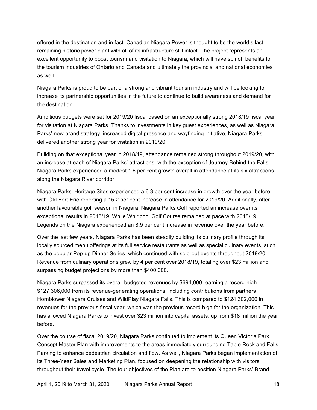offered in the destination and in fact, Canadian Niagara Power is thought to be the world's last remaining historic power plant with all of its infrastructure still intact. The project represents an excellent opportunity to boost tourism and visitation to Niagara, which will have spinoff benefits for as well. the tourism industries of Ontario and Canada and ultimately the provincial and national economies

 Niagara Parks is proud to be part of a strong and vibrant tourism industry and will be looking to increase its partnership opportunities in the future to continue to build awareness and demand for the destination.

 Ambitious budgets were set for 2019/20 fiscal based on an exceptionally strong 2018/19 fiscal year Parks' new brand strategy, increased digital presence and wayfinding initiative, Niagara Parks delivered another strong year for visitation in 2019/20. for visitation at Niagara Parks. Thanks to investments in key guest experiences, as well as Niagara

 Building on that exceptional year in 2018/19, attendance remained strong throughout 2019/20, with an increase at each of Niagara Parks' attractions, with the exception of Journey Behind the Falls. Niagara Parks experienced a modest 1.6 per cent growth overall in attendance at its six attractions along the Niagara River corridor.

 Niagara Parks' Heritage Sites experienced a 6.3 per cent increase in growth over the year before, with Old Fort Erie reporting a 15.2 per cent increase in attendance for 2019/20. Additionally, after another favourable golf season in Niagara, Niagara Parks Golf reported an increase over its exceptional results in 2018/19. While Whirlpool Golf Course remained at pace with 2018/19, Legends on the Niagara experienced an 8.9 per cent increase in revenue over the year before.

 Over the last few years, Niagara Parks has been steadily building its culinary profile through its locally sourced menu offerings at its full service restaurants as well as special culinary events, such as the popular Pop-up Dinner Series, which continued with sold-out events throughout 2019/20. Revenue from culinary operations grew by 4 per cent over 2018/19, totaling over \$23 million and surpassing budget projections by more than \$400,000.

 Niagara Parks surpassed its overall budgeted revenues by \$694,000, earning a record-high \$127,306,000 from its revenue-generating operations, including contributions from partners Hornblower Niagara Cruises and WildPlay Niagara Falls. This is compared to \$124,302,000 in revenues for the previous fiscal year, which was the previous record high for the organization. This has allowed Niagara Parks to invest over \$23 million into capital assets, up from \$18 million the year before.

 Over the course of fiscal 2019/20, Niagara Parks continued to implement its Queen Victoria Park Concept Master Plan with improvements to the areas immediately surrounding Table Rock and Falls Parking to enhance pedestrian circulation and flow. As well, Niagara Parks began implementation of its Three-Year Sales and Marketing Plan, focused on deepening the relationship with visitors throughout their travel cycle. The four objectives of the Plan are to position Niagara Parks' Brand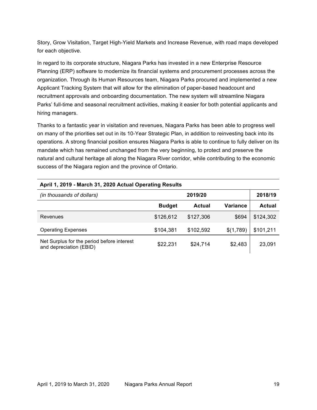Story, Grow Visitation, Target High-Yield Markets and Increase Revenue, with road maps developed for each objective.

 In regard to its corporate structure, Niagara Parks has invested in a new Enterprise Resource Planning (ERP) software to modernize its financial systems and procurement processes across the organization. Through its Human Resources team, Niagara Parks procured and implemented a new Applicant Tracking System that will allow for the elimination of paper-based headcount and recruitment approvals and onboarding documentation. The new system will streamline Niagara Parks' full-time and seasonal recruitment activities, making it easier for both potential applicants and hiring managers.

 Thanks to a fantastic year in visitation and revenues, Niagara Parks has been able to progress well on many of the priorities set out in its 10-Year Strategic Plan, in addition to reinvesting back into its operations. A strong financial position ensures Niagara Parks is able to continue to fully deliver on its mandate which has remained unchanged from the very beginning, to protect and preserve the natural and cultural heritage all along the Niagara River corridor, while contributing to the economic success of the Niagara region and the province of Ontario.

| (in thousands of dollars)                                             |               | 2019/20       |                 | 2018/19   |
|-----------------------------------------------------------------------|---------------|---------------|-----------------|-----------|
|                                                                       | <b>Budget</b> | <b>Actual</b> | <b>Variance</b> | Actual    |
| Revenues                                                              | \$126,612     | \$127,306     | \$694           | \$124,302 |
| <b>Operating Expenses</b>                                             | \$104,381     | \$102,592     | \$(1,789)       | \$101,211 |
| Net Surplus for the period before interest<br>and depreciation (EBID) | \$22,231      | \$24,714      | \$2,483         | 23,091    |

#### **April 1, 2019 - March 31, 2020 Actual Operating Results**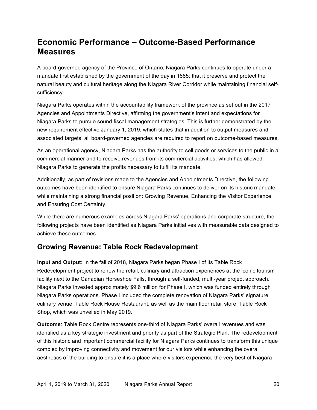# **Economic Performance – Outcome-Based Performance Measures**

 A board-governed agency of the Province of Ontario, Niagara Parks continues to operate under a mandate first established by the government of the day in 1885: that it preserve and protect the natural beauty and cultural heritage along the Niagara River Corridor while maintaining financial selfsufficiency.

 Niagara Parks operates within the accountability framework of the province as set out in the 2017 Agencies and Appointments Directive, affirming the government's intent and expectations for Niagara Parks to pursue sound fiscal management strategies. This is further demonstrated by the new requirement effective January 1, 2019, which states that in addition to output measures and associated targets, all board-governed agencies are required to report on outcome-based measures.

 As an operational agency, Niagara Parks has the authority to sell goods or services to the public in a commercial manner and to receive revenues from its commercial activities, which has allowed Niagara Parks to generate the profits necessary to fulfill its mandate.

 Additionally, as part of revisions made to the Agencies and Appointments Directive, the following outcomes have been identified to ensure Niagara Parks continues to deliver on its historic mandate and Ensuring Cost Certainty. while maintaining a strong financial position: Growing Revenue, Enhancing the Visitor Experience,

 While there are numerous examples across Niagara Parks' operations and corporate structure, the following projects have been identified as Niagara Parks initiatives with measurable data designed to achieve these outcomes.

# **Growing Revenue: Table Rock Redevelopment**

 Redevelopment project to renew the retail, culinary and attraction experiences at the iconic tourism facility next to the Canadian Horseshoe Falls, through a self-funded, multi-year project approach. Niagara Parks invested approximately \$9.6 million for Phase I, which was funded entirely through Niagara Parks operations. Phase I included the complete renovation of Niagara Parks' signature culinary venue, Table Rock House Restaurant, as well as the main floor retail store, Table Rock Shop, which was unveiled in May 2019. **Input and Output:** In the fall of 2018, Niagara Parks began Phase I of its Table Rock

 identified as a key strategic investment and priority as part of the Strategic Plan. The redevelopment of this historic and important commercial facility for Niagara Parks continues to transform this unique complex by improving connectivity and movement for our visitors while enhancing the overall aesthetics of the building to ensure it is a place where visitors experience the very best of Niagara **Outcome**: Table Rock Centre represents one-third of Niagara Parks' overall revenues and was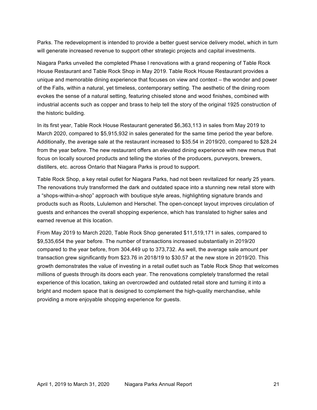Parks. The redevelopment is intended to provide a better guest service delivery model, which in turn will generate increased revenue to support other strategic projects and capital investments.

 Niagara Parks unveiled the completed Phase I renovations with a grand reopening of Table Rock House Restaurant and Table Rock Shop in May 2019. Table Rock House Restaurant provides a unique and memorable dining experience that focuses on view and context – the wonder and power of the Falls, within a natural, yet timeless, contemporary setting. The aesthetic of the dining room evokes the sense of a natural setting, featuring chiseled stone and wood finishes, combined with industrial accents such as copper and brass to help tell the story of the original 1925 construction of the historic building.

 In its first year, Table Rock House Restaurant generated \$6,363,113 in sales from May 2019 to March 2020, compared to \$5,915,932 in sales generated for the same time period the year before. Additionally, the average sale at the restaurant increased to \$35.54 in 2019/20, compared to \$28.24 distillers, etc. across Ontario that Niagara Parks is proud to support. from the year before. The new restaurant offers an elevated dining experience with new menus that focus on locally sourced products and telling the stories of the producers, purveyors, brewers,

 Table Rock Shop, a key retail outlet for Niagara Parks, had not been revitalized for nearly 25 years. The renovations truly transformed the dark and outdated space into a stunning new retail store with products such as Roots, Lululemon and Herschel. The open-concept layout improves circulation of guests and enhances the overall shopping experience, which has translated to higher sales and earned revenue at this location. a "shops-within-a-shop" approach with boutique style areas, highlighting signature brands and

 From May 2019 to March 2020, Table Rock Shop generated \$11,519,171 in sales, compared to \$9,535,654 the year before. The number of transactions increased substantially in 2019/20 compared to the year before, from 304,449 up to 373,732. As well, the average sale amount per growth demonstrates the value of investing in a retail outlet such as Table Rock Shop that welcomes millions of guests through its doors each year. The renovations completely transformed the retail experience of this location, taking an overcrowded and outdated retail store and turning it into a bright and modern space that is designed to complement the high-quality merchandise, while transaction grew significantly from \$23.76 in 2018/19 to \$30.57 at the new store in 2019/20. This providing a more enjoyable shopping experience for guests.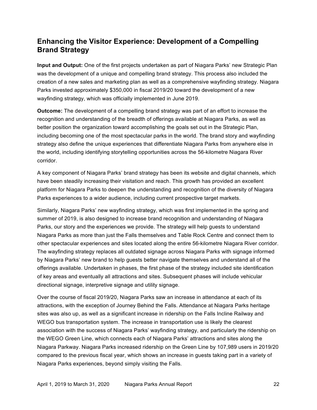# **Enhancing the Visitor Experience: Development of a Compelling Brand Strategy**

 **Input and Output:** One of the first projects undertaken as part of Niagara Parks' new Strategic Plan was the development of a unique and compelling brand strategy. This process also included the creation of a new sales and marketing plan as well as a comprehensive wayfinding strategy. Niagara Parks invested approximately \$350,000 in fiscal 2019/20 toward the development of a new wayfinding strategy, which was officially implemented in June 2019.

 **Outcome:** The development of a compelling brand strategy was part of an effort to increase the recognition and understanding of the breadth of offerings available at Niagara Parks, as well as better position the organization toward accomplishing the goals set out in the Strategic Plan, including becoming one of the most spectacular parks in the world. The brand story and wayfinding strategy also define the unique experiences that differentiate Niagara Parks from anywhere else in the world, including identifying storytelling opportunities across the 56-kilometre Niagara River corridor.

 A key component of Niagara Parks' brand strategy has been its website and digital channels, which have been steadily increasing their visitation and reach. This growth has provided an excellent platform for Niagara Parks to deepen the understanding and recognition of the diversity of Niagara Parks experiences to a wider audience, including current prospective target markets.

 Similarly, Niagara Parks' new wayfinding strategy, which was first implemented in the spring and summer of 2019, is also designed to increase brand recognition and understanding of Niagara Parks, our story and the experiences we provide. The strategy will help guests to understand Niagara Parks as more than just the Falls themselves and Table Rock Centre and connect them to other spectacular experiences and sites located along the entire 56-kilometre Niagara River corridor. The wayfinding strategy replaces all outdated signage across Niagara Parks with signage informed by Niagara Parks' new brand to help guests better navigate themselves and understand all of the offerings available. Undertaken in phases, the first phase of the strategy included site identification of key areas and eventually all attractions and sites. Subsequent phases will include vehicular directional signage, interpretive signage and utility signage.

 Over the course of fiscal 2019/20, Niagara Parks saw an increase in attendance at each of its attractions, with the exception of Journey Behind the Falls. Attendance at Niagara Parks heritage sites was also up, as well as a significant increase in ridership on the Falls Incline Railway and WEGO bus transportation system. The increase in transportation use is likely the clearest association with the success of Niagara Parks' wayfinding strategy, and particularly the ridership on Niagara Parkway. Niagara Parks increased ridership on the Green Line by 107,989 users in 2019/20 compared to the previous fiscal year, which shows an increase in guests taking part in a variety of Niagara Parks experiences, beyond simply visiting the Falls. the WEGO Green Line, which connects each of Niagara Parks' attractions and sites along the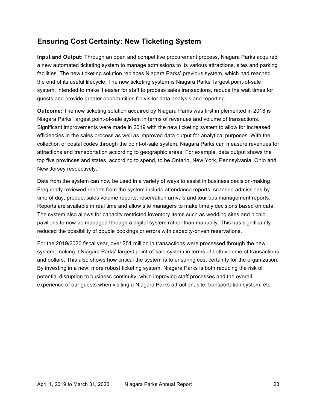# **Ensuring Cost Certainty: New Ticketing System**

 **Input and Output:** Through an open and competitive procurement process, Niagara Parks acquired a new automated ticketing system to manage admissions to its various attractions, sites and parking system, intended to make it easier for staff to process sales transactions, reduce the wait times for guests and provide greater opportunities for visitor data analysis and reporting. facilities. The new ticketing solution replaces Niagara Parks' previous system, which had reached the end of its useful lifecycle. The new ticketing system is Niagara Parks' largest point-of-sale

 **Outcome:** The new ticketing solution acquired by Niagara Parks was first implemented in 2018 is Niagara Parks' largest point-of-sale system in terms of revenues and volume of transactions. Significant improvements were made in 2019 with the new ticketing system to allow for increased efficiencies in the sales process as well as improved data output for analytical purposes. With the collection of postal codes through the point-of-sale system, Niagara Parks can measure revenues for attractions and transportation according to geographic areas. For example, data output shows the top five provinces and states, according to spend, to be Ontario, New York, Pennsylvania, Ohio and New Jersey respectively.

 Data from the system can now be used in a variety of ways to assist in business decision-making. Frequently reviewed reports from the system include attendance reports, scanned admissions by Reports are available in real time and allow site managers to make timely decisions based on data. The system also allows for capacity restricted inventory items such as wedding sites and picnic pavilions to now be managed through a digital system rather than manually. This has significantly reduced the possibility of double bookings or errors with capacity-driven reservations. time of day, product sales volume reports, reservation arrivals and tour bus management reports.

 For the 2019/2020 fiscal year, over \$51 million in transactions were processed through the new system, making it Niagara Parks' largest point-of-sale system in terms of both volume of transactions and dollars. This also shows how critical the system is to ensuring cost certainty for the organization. By investing in a new, more robust ticketing system, Niagara Parks is both reducing the risk of potential disruption to business continuity, while improving staff processes and the overall experience of our guests when visiting a Niagara Parks attraction, site, transportation system, etc.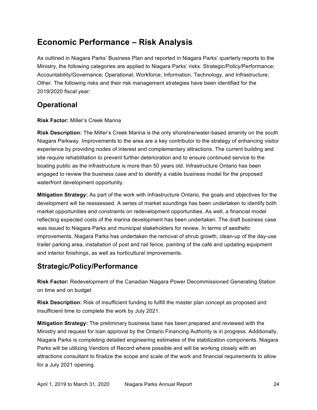# **Economic Performance – Risk Analysis**

 As outlined in Niagara Parks' Business Plan and reported in Niagara Parks' quarterly reports to the Ministry, the following categories are applied to Niagara Parks' risks: Strategic/Policy/Performance; Accountability/Governance; Operational; Workforce; Information, Technology, and Infrastructure; Other. The following risks and their risk management strategies have been identified for the 2019/2020 fiscal year:

# **Operational**

# **Risk Factor:** Miller's Creek Marina

 **Risk Description:** The Miller's Creek Marina is the only shoreline/water-based amenity on the south Niagara Parkway. Improvements to the area are a key contributor to the strategy of enhancing visitor experience by providing nodes of interest and complementary attractions. The current building and site require rehabilitation to prevent further deterioration and to ensure continued service to the boating public as the infrastructure is more than 50 years old. Infrastructure Ontario has been engaged to review the business case and to identify a viable business model for the proposed waterfront development opportunity.

 **Mitigation Strategy:** As part of the work with Infrastructure Ontario, the goals and objectives for the development will be reassessed. A series of market soundings has been undertaken to identify both market opportunities and constraints on redevelopment opportunities. As well, a financial model reflecting expected costs of the marina development has been undertaken. The draft business case was issued to Niagara Parks and municipal stakeholders for review. In terms of aesthetic improvements, Niagara Parks has undertaken the removal of shrub growth, clean-up of the day-use trailer parking area, installation of post and rail fence, painting of the café and updating equipment and interior finishings, as well as horticultural improvements.

# **Strategic/Policy/Performance**

 **Risk Factor:** Redevelopment of the Canadian Niagara Power Decommissioned Generating Station on time and on budget

 **Risk Description:** Risk of insufficient funding to fulfill the master plan concept as proposed and insufficient time to complete the work by July 2021.

 **Mitigation Strategy:** The preliminary business base has been prepared and reviewed with the Ministry and request for loan approval by the Ontario Financing Authority is in progress. Additionally, Niagara Parks is completing detailed engineering estimates of the stabilization components. Niagara Parks will be utilizing Vendors of Record where possible and will be working closely with an attractions consultant to finalize the scope and scale of the work and financial requirements to allow for a July 2021 opening.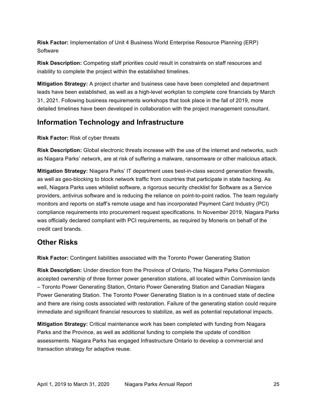**Risk Factor:** Implementation of Unit 4 Business World Enterprise Resource Planning (ERP) **Software** 

 **Risk Description:** Competing staff priorities could result in constraints on staff resources and inability to complete the project within the established timelines.

 **Mitigation Strategy:** A project charter and business case have been completed and department leads have been established, as well as a high-level workplan to complete core financials by March 31, 2021. Following business requirements workshops that took place in the fall of 2019, more detailed timelines have been developed in collaboration with the project management consultant.

# **Information Technology and Infrastructure**

## **Risk Factor:** Risk of cyber threats

 **Risk Description:** Global electronic threats increase with the use of the internet and networks, such as Niagara Parks' network, are at risk of suffering a malware, ransomware or other malicious attack.

 **Mitigation Strategy:** Niagara Parks' IT department uses best-in-class second generation firewalls, as well as geo-blocking to block network traffic from countries that participate in state hacking. As well, Niagara Parks uses whitelist software, a rigorous security checklist for Software as a Service providers, antivirus software and is reducing the reliance on point-to-point radios. The team regularly monitors and reports on staff's remote usage and has incorporated Payment Card Industry (PCI) compliance requirements into procurement request specifications. In November 2019, Niagara Parks was officially declared compliant with PCI requirements, as required by Moneris on behalf of the credit card brands.

# **Other Risks**

**Risk Factor:** Contingent liabilities associated with the Toronto Power Generating Station

 **Risk Description:** Under direction from the Province of Ontario, The Niagara Parks Commission accepted ownership of three former power generation stations, all located within Commission lands – Toronto Power Generating Station, Ontario Power Generating Station and Canadian Niagara Power Generating Station. The Toronto Power Generating Station is in a continued state of decline and there are rising costs associated with restoration. Failure of the generating station could require immediate and significant financial resources to stabilize, as well as potential reputational impacts.

 **Mitigation Strategy:** Critical maintenance work has been completed with funding from Niagara Parks and the Province, as well as additional funding to complete the update of condition assessments. Niagara Parks has engaged Infrastructure Ontario to develop a commercial and transaction strategy for adaptive reuse.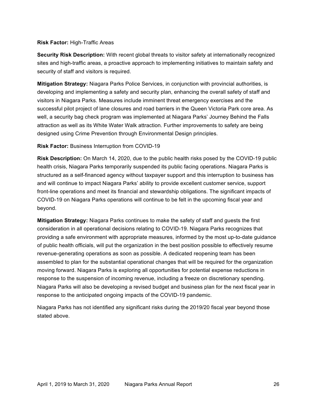#### **Risk Factor:** High-Traffic Areas

 **Security Risk Description:** With recent global threats to visitor safety at internationally recognized security of staff and visitors is required. sites and high-traffic areas, a proactive approach to implementing initiatives to maintain safety and

 **Mitigation Strategy:** Niagara Parks Police Services, in conjunction with provincial authorities, is developing and implementing a safety and security plan, enhancing the overall safety of staff and visitors in Niagara Parks. Measures include imminent threat emergency exercises and the successful pilot project of lane closures and road barriers in the Queen Victoria Park core area. As well, a security bag check program was implemented at Niagara Parks' Journey Behind the Falls attraction as well as its White Water Walk attraction. Further improvements to safety are being designed using Crime Prevention through Environmental Design principles.

**Risk Factor:** Business Interruption from COVID-19

 **Risk Description:** On March 14, 2020, due to the public health risks posed by the COVID-19 public health crisis, Niagara Parks temporarily suspended its public facing operations. Niagara Parks is structured as a self-financed agency without taxpayer support and this interruption to business has and will continue to impact Niagara Parks' ability to provide excellent customer service, support front-line operations and meet its financial and stewardship obligations. The significant impacts of COVID-19 on Niagara Parks operations will continue to be felt in the upcoming fiscal year and beyond.

 **Mitigation Strategy:** Niagara Parks continues to make the safety of staff and guests the first consideration in all operational decisions relating to COVID-19. Niagara Parks recognizes that providing a safe environment with appropriate measures, informed by the most up-to-date guidance of public health officials, will put the organization in the best position possible to effectively resume revenue-generating operations as soon as possible. A dedicated reopening team has been assembled to plan for the substantial operational changes that will be required for the organization moving forward. Niagara Parks is exploring all opportunities for potential expense reductions in response to the suspension of incoming revenue, including a freeze on discretionary spending. Niagara Parks will also be developing a revised budget and business plan for the next fiscal year in response to the anticipated ongoing impacts of the COVID-19 pandemic.

 Niagara Parks has not identified any significant risks during the 2019/20 fiscal year beyond those stated above.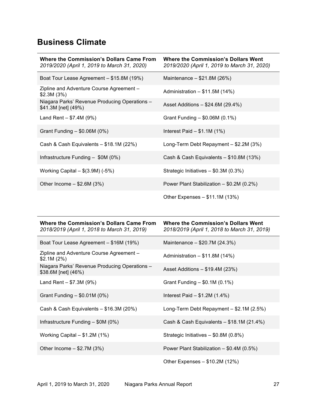# **Business Climate**

| <b>Where the Commission's Dollars Came From</b><br>2019/2020 (April 1, 2019 to March 31, 2020) | <b>Where the Commission's Dollars Went</b><br>2019/2020 (April 1, 2019 to March 31, 2020) |
|------------------------------------------------------------------------------------------------|-------------------------------------------------------------------------------------------|
| Boat Tour Lease Agreement - \$15.8M (19%)                                                      | Maintenance $-$ \$21.8M (26%)                                                             |
| Zipline and Adventure Course Agreement -<br>\$2.3M(3%)                                         | Administration $-$ \$11.5M (14%)                                                          |
| Niagara Parks' Revenue Producing Operations -<br>\$41.3M [net] (49%)                           | Asset Additions $-$ \$24.6M (29.4%)                                                       |
| Land Rent $- $7.4M (9%)$                                                                       | Grant Funding - \$0.06M (0.1%)                                                            |
| Grant Funding $-$ \$0.06M (0%)                                                                 | Interest Paid $-$ \$1.1M (1%)                                                             |
| Cash & Cash Equivalents - \$18.1M (22%)                                                        | Long-Term Debt Repayment - \$2.2M (3%)                                                    |
| Infrastructure Funding $-$ \$0M (0%)                                                           | Cash & Cash Equivalents $-$ \$10.8M (13%)                                                 |
| Working Capital $-$ \$(3.9M) (-5%)                                                             | Strategic Initiatives $-$ \$0.3M (0.3%)                                                   |
| Other Income $-$ \$2.6M (3%)                                                                   | Power Plant Stabilization - \$0.2M (0.2%)                                                 |
|                                                                                                | Other Expenses - \$11.1M (13%)                                                            |

| <b>Where the Commission's Dollars Came From</b><br>2018/2019 (April 1, 2018 to March 31, 2019) | <b>Where the Commission's Dollars Went</b><br>2018/2019 (April 1, 2018 to March 31, 2019) |
|------------------------------------------------------------------------------------------------|-------------------------------------------------------------------------------------------|
| Boat Tour Lease Agreement - \$16M (19%)                                                        | Maintenance - \$20.7M (24.3%)                                                             |
| Zipline and Adventure Course Agreement -<br>\$2.1M (2%)                                        | Administration $- $11.8M (14%)$                                                           |
| Niagara Parks' Revenue Producing Operations -<br>\$38.6M [net] (46%)                           | Asset Additions $- $19.4M (23%)$                                                          |
| Land Rent $- $7.3M (9%)$                                                                       | Grant Funding $-$ \$0.1M (0.1%)                                                           |
| Grant Funding $-$ \$0.01M (0%)                                                                 | Interest Paid $- $1.2M (1.4%)$                                                            |
| Cash & Cash Equivalents - \$16.3M (20%)                                                        | Long-Term Debt Repayment $-$ \$2.1M (2.5%)                                                |
| Infrastructure Funding $-$ \$0M (0%)                                                           | Cash & Cash Equivalents $-$ \$18.1M (21.4%)                                               |
| Working Capital $- $1.2M (1%)$                                                                 | Strategic Initiatives - \$0.8M (0.8%)                                                     |
| Other Income $-$ \$2.7M (3%)                                                                   | Power Plant Stabilization - \$0.4M (0.5%)                                                 |
|                                                                                                | Other Expenses - \$10.2M (12%)                                                            |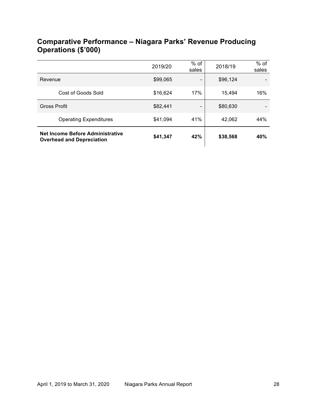| Net Income Before Administrative<br><b>Overhead and Depreciation</b> | \$41,347 | 42%             | \$38,568 | 40%             |
|----------------------------------------------------------------------|----------|-----------------|----------|-----------------|
| <b>Operating Expenditures</b>                                        | \$41,094 | 41%             | 42,062   | 44%             |
| <b>Gross Profit</b>                                                  | \$82,441 | -               | \$80,630 |                 |
| Cost of Goods Sold                                                   | \$16,624 | 17%             | 15,494   | 16%             |
| Revenue                                                              | \$99,065 | -               | \$96,124 |                 |
|                                                                      | 2019/20  | $%$ of<br>sales | 2018/19  | $%$ of<br>sales |

# **Comparative Performance – Niagara Parks' Revenue Producing Operations (\$'000)**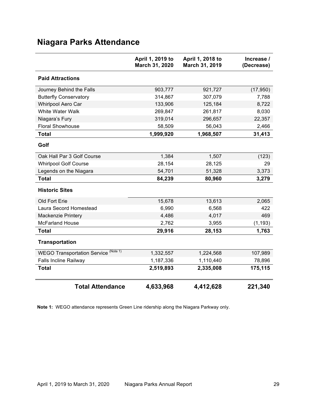# **Niagara Parks Attendance**

|                                                | April 1, 2019 to<br>March 31, 2020 | April 1, 2018 to<br>March 31, 2019 | Increase /<br>(Decrease) |
|------------------------------------------------|------------------------------------|------------------------------------|--------------------------|
| <b>Paid Attractions</b>                        |                                    |                                    |                          |
| Journey Behind the Falls                       | 903,777                            | 921,727                            | (17, 950)                |
| <b>Butterfly Conservatory</b>                  | 314,867                            | 307,079                            | 7,788                    |
| Whirlpool Aero Car                             | 133,906                            | 125,184                            | 8,722                    |
| White Water Walk                               | 269,847                            | 261,817                            | 8,030                    |
| Niagara's Fury                                 | 319,014                            | 296,657                            | 22,357                   |
| <b>Floral Showhouse</b>                        | 58,509                             | 56,043                             | 2,466                    |
| <b>Total</b>                                   | 1,999,920                          | 1,968,507                          | 31,413                   |
| Golf                                           |                                    |                                    |                          |
| Oak Hall Par 3 Golf Course                     | 1,384                              | 1,507                              | (123)                    |
| <b>Whirlpool Golf Course</b>                   | 28,154                             | 28,125                             | 29                       |
| Legends on the Niagara                         | 54,701                             | 51,328                             | 3,373                    |
| <b>Total</b>                                   | 84,239                             | 80,960                             | 3,279                    |
| <b>Historic Sites</b>                          |                                    |                                    |                          |
| Old Fort Erie                                  | 15,678                             | 13,613                             | 2,065                    |
| Laura Secord Homestead                         | 6,990                              | 6,568                              | 422                      |
| Mackenzie Printery                             | 4,486                              | 4,017                              | 469                      |
| <b>McFarland House</b>                         | 2,762                              | 3,955                              | (1, 193)                 |
| <b>Total</b>                                   | 29,916                             | 28,153                             | 1,763                    |
| <b>Transportation</b>                          |                                    |                                    |                          |
| (Note 1)<br><b>WEGO Transportation Service</b> | 1,332,557                          | 1,224,568                          | 107,989                  |
| <b>Falls Incline Railway</b>                   | 1,187,336                          | 1,110,440                          | 78,896                   |
| <b>Total</b>                                   | 2,519,893                          | 2,335,008                          | 175,115                  |
| <b>Total Attendance</b>                        | 4,633,968                          | 4,412,628                          | 221,340                  |

**Note 1:** WEGO attendance represents Green Line ridership along the Niagara Parkway only.